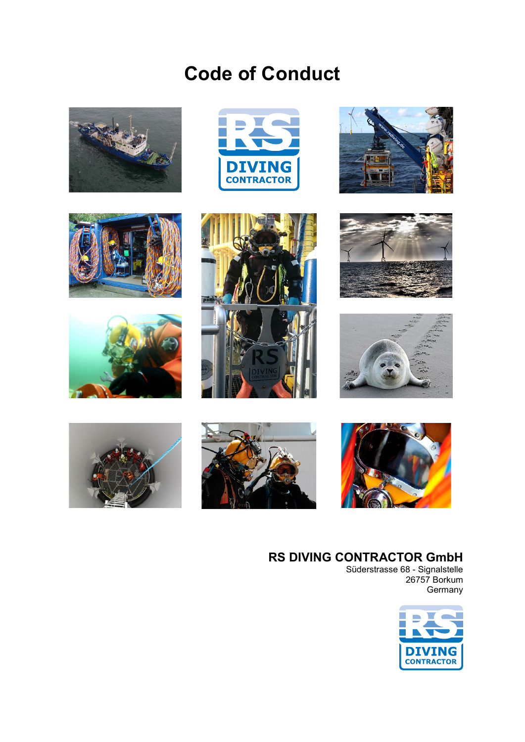## **Code of Conduct**























#### **RS DIVING CONTRACTOR GmbH**

Süderstrasse 68 - Signalstelle 26757 Borkum Germany

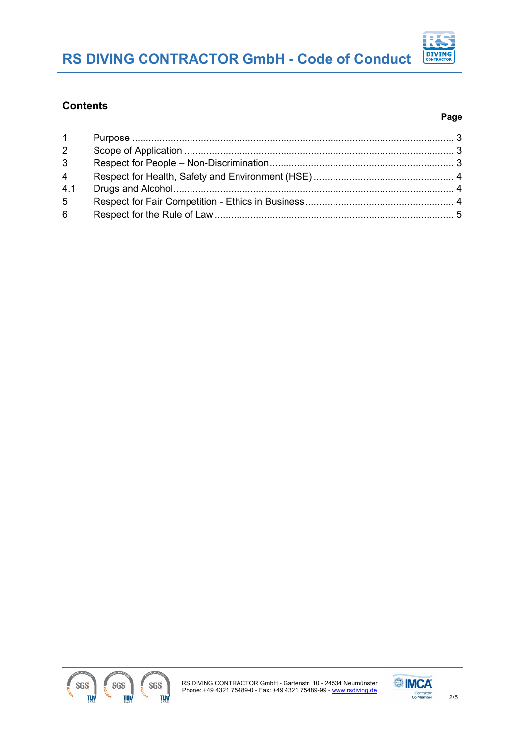### **RS DIVING CONTRACTOR GmbH - Code of Conduct**

# **DIVING**<br>CONTRACTOR

#### **Contents**

#### **Page**



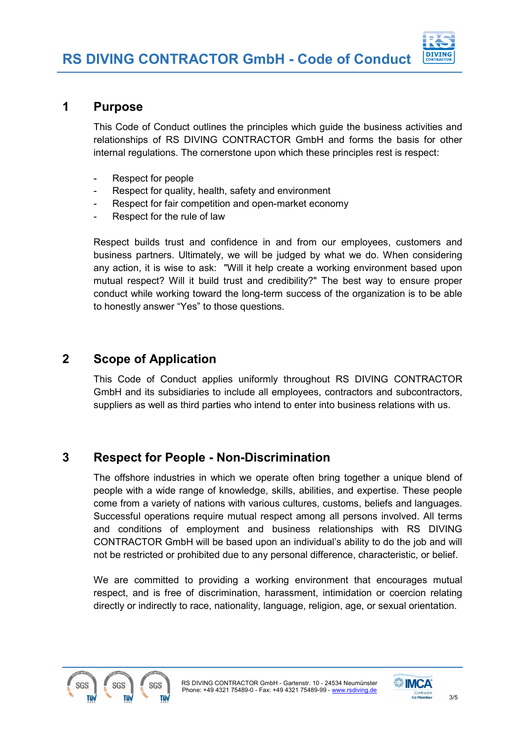

#### <span id="page-2-0"></span>**1 Purpose**

This Code of Conduct outlines the principles which guide the business activities and relationships of RS DIVING CONTRACTOR GmbH and forms the basis for other internal regulations. The cornerstone upon which these principles rest is respect:

- Respect for people
- Respect for quality, health, safety and environment
- Respect for fair competition and open-market economy
- Respect for the rule of law

Respect builds trust and confidence in and from our employees, customers and business partners. Ultimately, we will be judged by what we do. When considering any action, it is wise to ask: "Will it help create a working environment based upon mutual respect? Will it build trust and credibility?" The best way to ensure proper conduct while working toward the long-term success of the organization is to be able to honestly answer "Yes" to those questions.

#### <span id="page-2-1"></span>**2 Scope of Application**

This Code of Conduct applies uniformly throughout RS DIVING CONTRACTOR GmbH and its subsidiaries to include all employees, contractors and subcontractors, suppliers as well as third parties who intend to enter into business relations with us.

#### <span id="page-2-2"></span>**3 Respect for People - Non-Discrimination**

The offshore industries in which we operate often bring together a unique blend of people with a wide range of knowledge, skills, abilities, and expertise. These people come from a variety of nations with various cultures, customs, beliefs and languages. Successful operations require mutual respect among all persons involved. All terms and conditions of employment and business relationships with RS DIVING CONTRACTOR GmbH will be based upon an individual's ability to do the job and will not be restricted or prohibited due to any personal difference, characteristic, or belief.

We are committed to providing a working environment that encourages mutual respect, and is free of discrimination, harassment, intimidation or coercion relating directly or indirectly to race, nationality, language, religion, age, or sexual orientation.



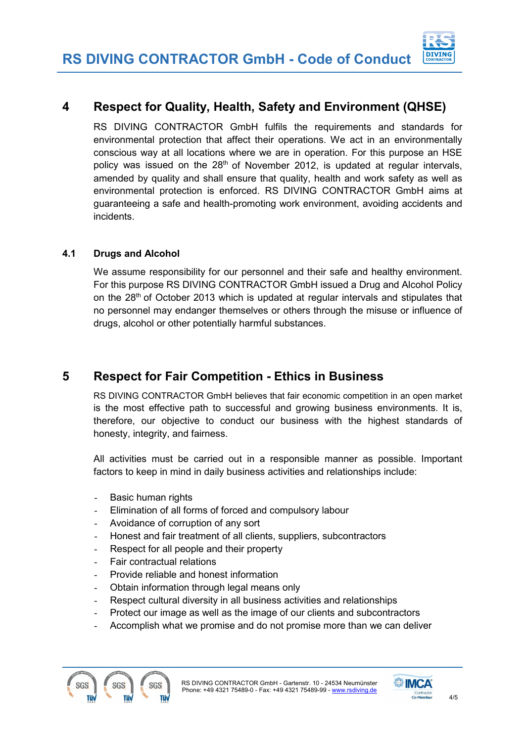#### <span id="page-3-0"></span>**4 Respect for Quality, Health, Safety and Environment (QHSE)**

RS DIVING CONTRACTOR GmbH fulfils the requirements and standards for environmental protection that affect their operations. We act in an environmentally conscious way at all locations where we are in operation. For this purpose an HSE policy was issued on the  $28<sup>th</sup>$  of November 2012, is updated at regular intervals, amended by quality and shall ensure that quality, health and work safety as well as environmental protection is enforced. RS DIVING CONTRACTOR GmbH aims at guaranteeing a safe and health-promoting work environment, avoiding accidents and incidents.

#### <span id="page-3-1"></span>**4.1 Drugs and Alcohol**

We assume responsibility for our personnel and their safe and healthy environment. For this purpose RS DIVING CONTRACTOR GmbH issued a Drug and Alcohol Policy on the 28<sup>th</sup> of October 2013 which is updated at regular intervals and stipulates that no personnel may endanger themselves or others through the misuse or influence of drugs, alcohol or other potentially harmful substances.

#### <span id="page-3-2"></span>**5 Respect for Fair Competition - Ethics in Business**

RS DIVING CONTRACTOR GmbH believes that fair economic competition in an open market is the most effective path to successful and growing business environments. It is, therefore, our objective to conduct our business with the highest standards of honesty, integrity, and fairness.

All activities must be carried out in a responsible manner as possible. Important factors to keep in mind in daily business activities and relationships include:

- Basic human rights
- Elimination of all forms of forced and compulsory labour
- Avoidance of corruption of any sort
- Honest and fair treatment of all clients, suppliers, subcontractors
- Respect for all people and their property
- Fair contractual relations
- Provide reliable and honest information
- Obtain information through legal means only
- Respect cultural diversity in all business activities and relationships
- Protect our image as well as the image of our clients and subcontractors
- Accomplish what we promise and do not promise more than we can deliver